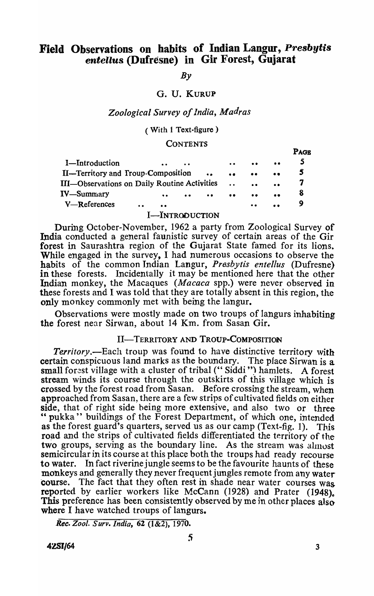# Field Observations on habits of Indian Langur, *Presby tis*  entellus (Dufresne) in Gir Forest, Gujarat

 $By$ 

## G. U. KURUP

# *Zoological Survey of India, Madras*

( With 1 Text-figure)

#### **CONTENTS**

|                                              |           |                     |           |           |                      |                     |           | <b>PAGE</b>      |  |
|----------------------------------------------|-----------|---------------------|-----------|-----------|----------------------|---------------------|-----------|------------------|--|
| I-Introduction                               |           | $\bullet$           | $\bullet$ |           | $\bullet$            | $\bullet$           | $\bullet$ |                  |  |
| <b>II—Territory and Troup-Composition</b>    |           |                     |           | $\bullet$ | $\bullet$            | $\bullet$           | $\bullet$ | $\boldsymbol{s}$ |  |
| III—Observations on Daily Routine Activities |           |                     |           |           | $\ddot{\phantom{a}}$ | $\bullet$           |           |                  |  |
| <b>IV</b> —Summary                           |           | $\bullet$ $\bullet$ | $\bullet$ | $\bullet$ | $\bullet \bullet$    | $\bullet\bullet$    | $\bullet$ | 8                |  |
| $V$ —References                              | $\bullet$ | $\bullet$           |           |           |                      | $\bullet$ $\bullet$ |           |                  |  |
|                                              |           |                     |           |           |                      |                     |           |                  |  |

#### I-INTRODUCTION

During October-November, 1962 a party from Zoological Survey of India conducted a general faunistic survey of certain areas of the Gir forest in Saurashtra region of the Gujarat State famed for its lions. While engaged in the survey, I had numerous occasions to observe the habits of the common Indian Langur, *Presbytis entellus* (Dufresne) in these forests. Incidentally it may be mentioned here that the other Incidentally it may be mentioned here that the other Indian monkey, the Macaques *(Macaca* spp.) were never observed in these forests and I was told that they are totally absent in this region, the only monkey commonly met with being the langur.

Observations were mostly made on two troups of langurs inhabiting the forest near Sirwan, about 14 Km. from Sasan Gir.

# II-TERRITORY AND TROUP-COMPOSITION

*Territory*.—Each troup was found to have distinctive territory with certain conspicuous land marks as the boundary. The place Sirwan is a small forest village with a cluster of tribal ("Siddi") hamlets. A forest stream winds its course through the outskirts of this village which is crossed by the forest road from Sasan. Before crossing the stream, when approached from Sasan, there are a few strips of cultivated fields on either side, that of right side being more extensive, and also two or three " pukka" buildings of the Forest Department, of which one, intended as the forest guard's quarters, served us as our camp (Text-fig. 1). This road and the strips of cultivated fields differentiated the territory of the two groups, serving as the boundary line. As the stream was almost semicircular in its course at this place both the troups had ready recourse to water. In fact riverine jungle seems to be the favourite haunts of these monkeys and generally they never frequent jungles remote from any water course. The fact that they often rest in shade near water courses was reported by earlier workers like McCann (1928) and Prater (1948). This preference has been consistently observed by me in other places also where I have watched troups of langurs.

 $\mathbf{R} \cdot \mathbf{R}$ 

*Rec. Zool. Surv. India,* 62 (1&2), 1970.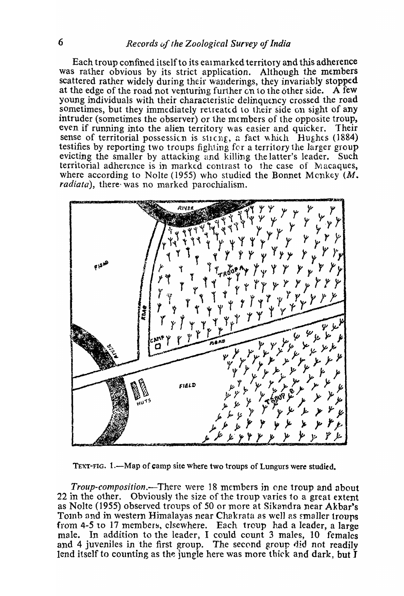Each troup confined itself to its ealmarked territory and this adherence was rather obvious by its strict application. Although the members scattered rather widely during their wanderings, they invariably stopped at the edge of the road not venturing further  $\sin$  to the other side. A few young individuals with their characteristic delinquency crossed the road sometimes, but they immediately retreated to their side on sight of any intruder (sometimes the observer) or the members of the opposite troup, even if funning into the alien territory was easier and quicker. Their sense of territorial possession is sticng, a fact which Hughes (1884) testifies by reporting two troups fighting fer a territory the larger group evicting the smaller by attacking and killing the latter's leader. Such territorial adherence is in marked contrast to the case of Macaques, where according to Nolte (1955) who studied the Bonnet Menkey  $(M, \mathcal{L})$ *radiata*), there was no marked parochialism.



TEXT-FIG. 1.--Map of camp site where two troups of Lungurs were studied.

*Troup-composition.-*There were 18 members jn one troup and about 22 in the other. Obviously the size of the troup varies to a great extent as Nolte (1955) observed troups of 50 or more at Sikandra near Akbar's Toinb and in western Himalayas near Chakrata as well as smaller troups from  $4-5$  to 17 members, elsewhere. Each troup had a leader, a large male. In addition to the leader, I could count 3 males, 10 females and 4 juveniles in the first group. The second group did not readily lend itself to counting as the jungle here was more thick and dark, but  $\tilde{I}$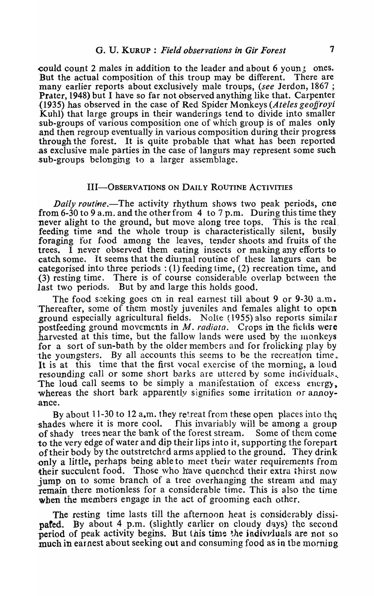could count 2 males in addition to the leader and about 6 youn g ones.<br>But the actual composition of this troup may be different. There are But the actual composition of this troup may be different. many earlier reports about exclusively male troups, *(see* Jerdon, 1867 ; Prater, 1948) but I have so far not observed anything like that. Carpenter (1935) has observed in the case of Red Spider Monkeys *(Ateles geojJroyi*  Kuhl) that large groups in their wanderings tend to divide into smaller sub-groups of various composition one of which group is of males only .and then regroup eventually in various composition during their progress through the forest. It is quite probable that what has been reported ,as exclusive male parties in the case of langurs may represent some such sub-groups belonging to a larger assemblage.

### III-OBSERVATIONS ON DAILY ROUTINE ACTIVITIES

*Daily routine.*—The activity rhythum shows two peak periods, one from 6-30 to 9 a.m. and the other from 4 to 7 p.m. During this time they 'never alight to the ground, but move along tree tops. This is the real. feeding time and the whole troup is characteristically silent, busily foraging for food among the leaves, tender shoots and fruits of the trees. I never observed them eating insects or making any efforts to ·catch some. It seems that the diurnal routine of these langurs can be categorised into three periods: (1) feeding time, (2) recreation time, and (3) resting time. There is of course considerable overlap between the last two periods. But by and large this holds good.

The food seeking goes on in real earnest till about 9 or 9-30 a.m. Thereafter, some of them mostly juveniles and females alight to open ground especially agricultural fields. Nolte (1955) also reports similar postfeeding ground movements in  $M$ . *radiata*. Crops in the fields were harvested at this time, but the fallow lands were used by the monkeys for a sort of sun-bath by the older members and for frolicking play by the youngsters. By all accounts this seems to be the recreation time, It is at this time that the first vocal exercise of the morning, a loud resounding call or some short barks are uttered by some individuals. The loud call seems to be simply a manifestation of excess energy, whereas the short bark apparently signifies some irritation or annoy-.ance.

By about 11-30 to 12 a.m. they retreat from these open places into the. shades where it is more cool. This invariably will be among a group of shady trees near the bank of the forest stream. Some of them come to the very edge of water and dip their lips into it, supporting the forepart of their body by the outstretched arms applied to the ground. They drink -only a little, perhaps being able to meet tueir water requirements from their succulent food. Those who have quenched their extra thirst now jump on to some branch of a tree overhanging the stream and may remain there motionless for a considerable time. This is also the time when the members engage in the act of grooming each other.

The resting time lasts till the afternoon heat is considerably *dissi*pated. By about 4 p.m. (slightly earlier on cloudy days) the second period of peak activity begins. But this time the indiviruals are not so much in earnest about seeking out and consuming food as in the morning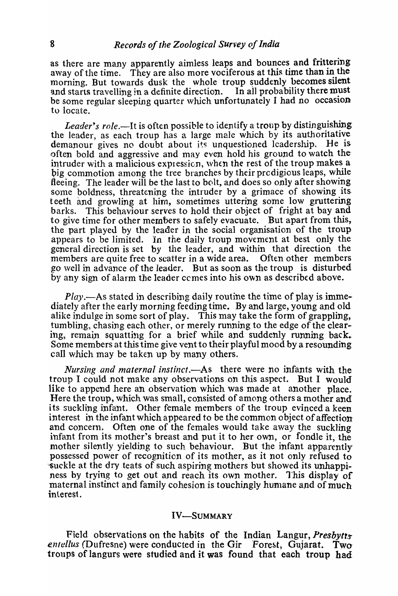as there are many apparently aimless leaps and bounces and frittering away of the time. They are also more vociferous at this time than in the morning. But towards dusk the whole troup suddenly becomes silent and starts travelling in a definite direction. In all probability there must be some regular sleeping quarter which unfortunately I had no occasion to locate.

Leader's role.—It is often possible to identify a troup by distinguishing the leader, as each troup has a large male which by its authoritative demanour gives no doubt about its unquestioned leadership. He is often bold and aggressive and may even hold his ground to watch the' intruder with a malicious expression, when the rest of the troup makes a big commotion among the tree branches by their prodigious leaps, while fleeing. The leader will be the last to bolt, and does so only after showing some boldness, threatening the intruder by a grimace of showing its. teeth and growling at hirn, sometimes uttering some low gruttering barks. This behaviour serves to hold their object of fright at bay and to give time for other members to safely evacuate. But apart from this, the part played by the leader in the social organisation of the troup appears to be limited. In the daily troup movement at best only the general direction is set by the leader, and within that direction the members are quite free to scatter in a wide area. Often other members go well in advance of the leader. But as soon as the troup is disturbed by any sign of alarm the leader cernes into his own as described above.

*Play.-As* stated in describing daily routine the time of play is immediately after the early morning feeding time. By and large, young and old alike indulge in some sort of play. This may take the form of grappling, tumbling, chasing each other, or merely running to the edge of the clearing, remain squatting for a brief while and suddenly running back. Some members at this time give vent to their playful mood by a resounding call which may be taken up by many others.

*Nursing and maternal instinct.*—As there were no infants with the troup I could not make any observations on this aspect. But I would like to append here an observation which was made at another place. Here the troup, which was small, consisted of among others a mother and its suckling infant. Other female members of the troup evinced a keen interest in the infant which appeared to be the common object of affection and concern. Often one of the females would take away the suckling infant from its mother's breast and put it to her own, or fondle it, the mother silently yielding to such behaviour. But the infant apparently possessed power of recognition of its mother, as it not only refused to -~uckle at the dry teats of such aspiring mothers but showed its unhappiness by trying to get out and reach its own mother. 1'his display of maternal instinct and family cohesion is touchingly humane and of much interest.

## IV-SUMMARY

Field observations on the habits of the Indian Langur, *Presbytts* entellus (Dufresne) were conducted in the Gir Forest, Gujarat. Two tronps of langurs were studied and it was found that each troup had